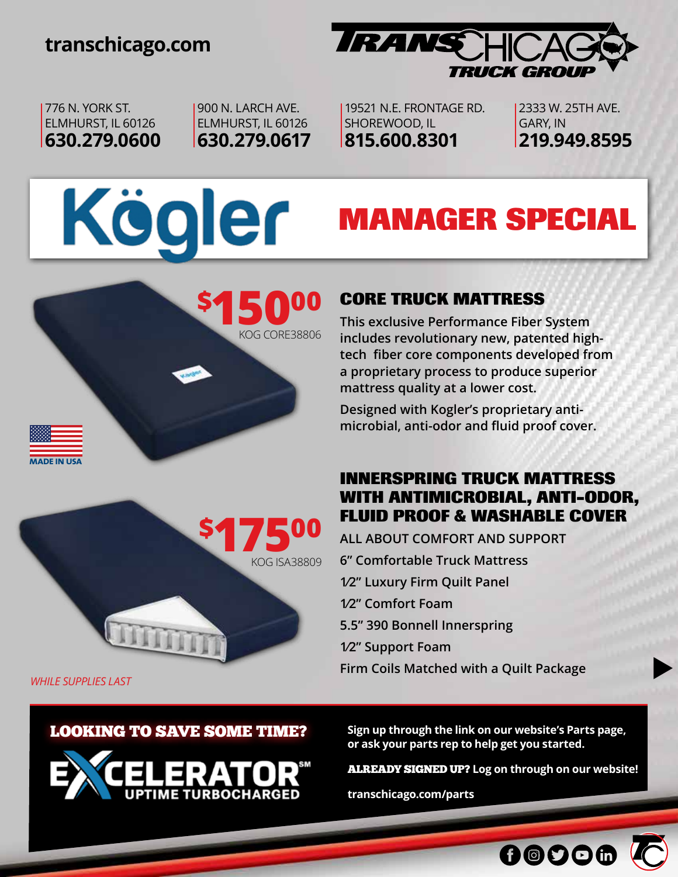## **transchicago.com**



**MANAGER SPECIAL**

776 N. YORK ST. ELMHURST, IL 60126 **630.279.0600** 900 N. LARCH AVE. ELMHURST, IL 60126 **630.279.0617**

19521 N.E. FRONTAGE RD. SHOREWOOD, IL **815.600.8301**

2333 W. 25TH AVE. GARY, IN **219.949.8595**

# Kögler



**This exclusive Performance Fiber System includes revolutionary new, patented hightech fiber core components developed from a proprietary process to produce superior mattress quality at a lower cost.**

**Designed with Kogler's proprietary antimicrobial, anti-odor and fluid proof cover.**

#### **INNERSPRING TRUCK MATTRESS WITH ANTIMICROBIAL, ANTI-ODOR, FLUID PROOF & WASHABLE COVER**

**ALL ABOUT COMFORT AND SUPPORT 6" Comfortable Truck Mattress 1⁄2" Luxury Firm Quilt Panel 1⁄2" Comfort Foam 5.5" 390 Bonnell Innerspring 1⁄2" Support Foam Firm Coils Matched with a Quilt Package** 

*WHILE SUPPLIES LAST*

**made in usa**

#### LOOKING TO SAVE SOME TIME?

**\$**

**17500**

KOG ISA38809

KOG CORE38806



**Sign up through the link on our website's Parts page, or ask your parts rep to help get you started.** 

 $\blacktriangleright$ 

ALREADY SIGNED UP? **Log on through on our website!**

00006

**transchicago.com/parts**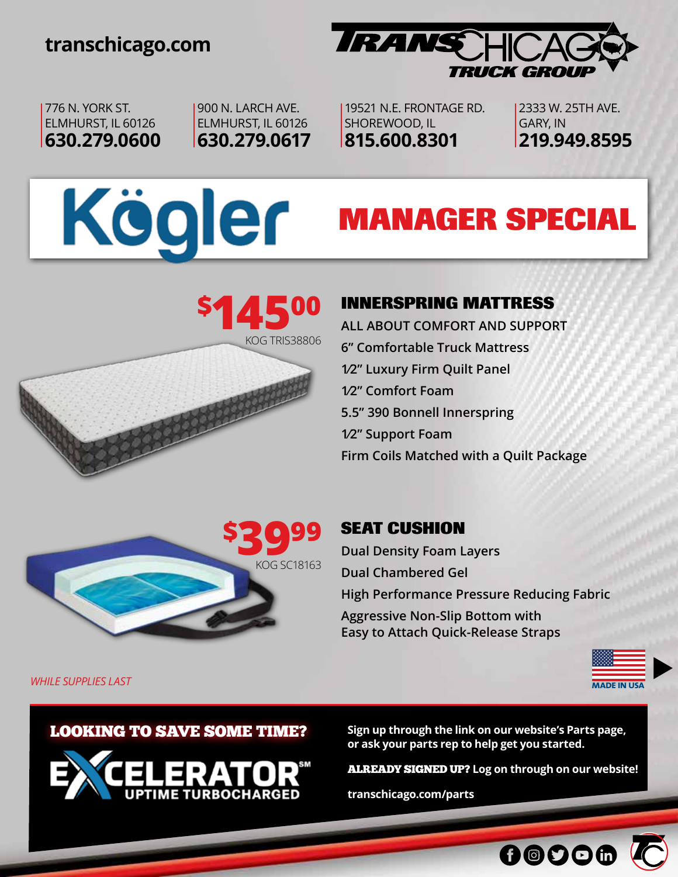## **transchicago.com**



776 N. YORK ST. ELMHURST, IL 60126 **630.279.0600** 900 N. LARCH AVE. ELMHURST, IL 60126 **630.279.0617**

19521 N.E. FRONTAGE RD. SHOREWOOD, IL **815.600.8301**

2333 W. 25TH AVE. GARY, IN **219.949.8595**

# Kögler **MANAGER SPECIAL**



### **INNERSPRING MATTRESS**

**ALL ABOUT COMFORT AND SUPPORT 6" Comfortable Truck Mattress 1⁄2" Luxury Firm Quilt Panel 1⁄2" Comfort Foam 5.5" 390 Bonnell Innerspring 1⁄2" Support Foam Firm Coils Matched with a Quilt Package** 



## **SEAT CUSHION**

**Dual Density Foam Layers Dual Chambered Gel High Performance Pressure Reducing Fabric Aggressive Non-Slip Bottom with Easy to Attach Quick-Release Straps**



*WHILE SUPPLIES LAST* **made in usa**

LOOKING TO SAVE SOME TIME?



**Sign up through the link on our website's Parts page, or ask your parts rep to help get you started.** 

ALREADY SIGNED UP? **Log on through on our website!**

00006

**transchicago.com/parts**